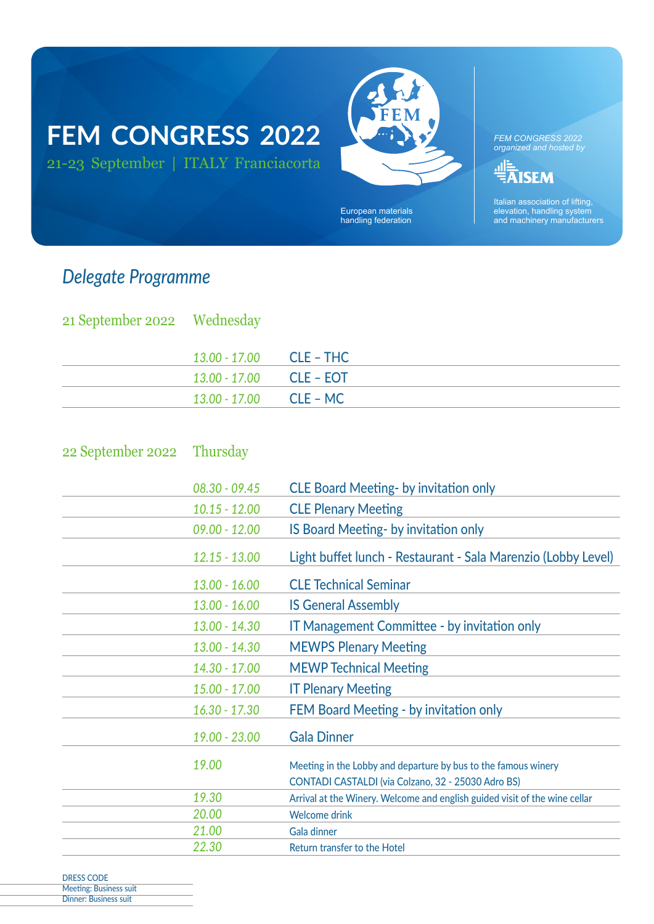# **FEM CONGRESS 2022** 21-23 September | ITALY Franciacorta



European materials handling federation

*FEM CONGRESS 2022 organized and hosted by*

<u><sup>과</sup> 통</del><br>국내 SEM</u>

Italian association of lifting, elevation, handling system and machinery manufacturers

## *Delegate Programme*

| 21 September 2022 Wednesday |                           |  |
|-----------------------------|---------------------------|--|
|                             | $13.00 - 17.00$ CLE – THC |  |
|                             | $13.00 - 17.00$ CLE – EOT |  |
|                             | $13.00 - 17.00$ CLE – MC  |  |

#### 22 September 2022 Thursday

| $08.30 - 09.45$ | <b>CLE Board Meeting- by invitation only</b>                                                                         |
|-----------------|----------------------------------------------------------------------------------------------------------------------|
| $10.15 - 12.00$ | <b>CLE Plenary Meeting</b>                                                                                           |
| $09.00 - 12.00$ | IS Board Meeting- by invitation only                                                                                 |
| $12.15 - 13.00$ | Light buffet lunch - Restaurant - Sala Marenzio (Lobby Level)                                                        |
| $13.00 - 16.00$ | <b>CLE Technical Seminar</b>                                                                                         |
| $13.00 - 16.00$ | <b>IS General Assembly</b>                                                                                           |
| $13.00 - 14.30$ | <b>IT Management Committee - by invitation only</b>                                                                  |
| $13.00 - 14.30$ | <b>MEWPS Plenary Meeting</b>                                                                                         |
| 14.30 - 17.00   | <b>MEWP Technical Meeting</b>                                                                                        |
| $15.00 - 17.00$ | <b>IT Plenary Meeting</b>                                                                                            |
| $16.30 - 17.30$ | FEM Board Meeting - by invitation only                                                                               |
| $19.00 - 23.00$ | <b>Gala Dinner</b>                                                                                                   |
| 19.00           | Meeting in the Lobby and departure by bus to the famous winery<br>CONTADI CASTALDI (via Colzano, 32 - 25030 Adro BS) |
| 19.30           | Arrival at the Winery. Welcome and english guided visit of the wine cellar                                           |
| 20.00           | <b>Welcome drink</b>                                                                                                 |
| 21.00           | <b>Gala dinner</b>                                                                                                   |
| 22.30           | <b>Return transfer to the Hotel</b>                                                                                  |

DRESS CODE Meeting: Business suit Dinner: Business suit